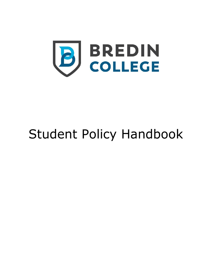

# Student Policy Handbook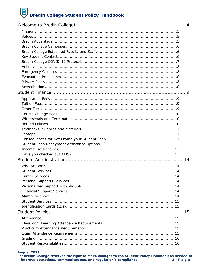#### **August 2021**

\*\* Bredin College reserves the right to make changes to the Student Policy Handbook as needed to improve operations, communications, and regulation's compliance.  $2 | P a g e$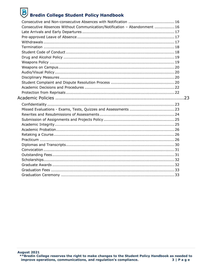#### $\overline{B}$ Bredin College Student Policy Handbook

| Consecutive Absences Without Communication/Notification - Abandonment  16 |  |
|---------------------------------------------------------------------------|--|
|                                                                           |  |
|                                                                           |  |
|                                                                           |  |
|                                                                           |  |
|                                                                           |  |
|                                                                           |  |
|                                                                           |  |
|                                                                           |  |
|                                                                           |  |
|                                                                           |  |
|                                                                           |  |
|                                                                           |  |
|                                                                           |  |
|                                                                           |  |
|                                                                           |  |
|                                                                           |  |
|                                                                           |  |
|                                                                           |  |
|                                                                           |  |
|                                                                           |  |
|                                                                           |  |
|                                                                           |  |
|                                                                           |  |
|                                                                           |  |
|                                                                           |  |
|                                                                           |  |
|                                                                           |  |
|                                                                           |  |
|                                                                           |  |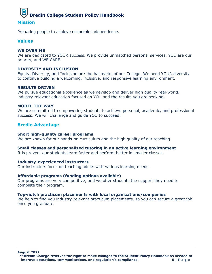#### <span id="page-4-0"></span>**Mission**

Preparing people to achieve economic independence.

#### <span id="page-4-1"></span>**Values**

#### **WE OVER ME**

We are dedicated to YOUR success. We provide unmatched personal services. YOU are our priority, and WE CARE!

#### **DIVERSITY AND INCLUSION**

Equity, Diversity, and Inclusion are the hallmarks of our College. We need YOUR diversity to continue building a welcoming, inclusive, and responsive learning environment.

#### **RESULTS DRIVEN**

We pursue educational excellence as we develop and deliver high quality real-world, industry relevant education focused on YOU and the results you are seeking.

#### **MODEL THE WAY**

We are committed to empowering students to achieve personal, academic, and professional success. We will challenge and guide YOU to succeed!

#### <span id="page-4-2"></span>**Bredin Advantage**

#### **Short high-quality career programs**

We are known for our hands-on curriculum and the high quality of our teaching.

#### **Small classes and personalized tutoring in an active learning environment**

It is proven, our students learn faster and perform better in smaller classes.

#### **Industry-experienced instructors**

Our instructors focus on teaching adults with various learning needs.

#### **Affordable programs (funding options available)**

Our programs are very competitive, and we offer students the support they need to complete their program.

#### **Top-notch practicum placements with local organizations/companies**

We help to find you industry-relevant practicum placements, so you can secure a great job once you graduate.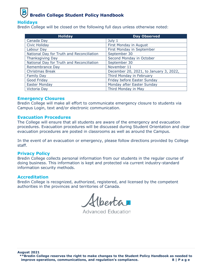#### <span id="page-7-0"></span>**Holidays**

Bredin College will be closed on the following full days unless otherwise noted:

| <b>Holiday</b>                            | <b>Day Observed</b>                    |
|-------------------------------------------|----------------------------------------|
| Canada Day                                | July 1                                 |
| Civic Holiday                             | First Monday in August                 |
| Labour Day                                | First Monday in September              |
| National Day for Truth and Reconciliation | September 30                           |
| Thanksgiving Day                          | Second Monday in October               |
| National Day for Truth and Reconciliation | September 30                           |
| Remembrance Day                           | November 11                            |
| Christmas Break                           | December 20, 2021, to January 3, 2022, |
| <b>Family Day</b>                         | Third Monday in February               |
| Good Friday                               | Friday before Easter Sunday            |
| <b>Easter Monday</b>                      | Monday after Easter Sunday             |
| Victoria Day                              | Third Monday in May                    |

#### <span id="page-7-1"></span>**Emergency Closures**

Bredin College will make all effort to communicate emergency closure to students via Campus Login, text and/or electronic communication.

#### <span id="page-7-2"></span>**Evacuation Procedures**

The College will ensure that all students are aware of the emergency and evacuation procedures. Evacuation procedures will be discussed during Student Orientation and clear evacuation procedures are posted in classrooms as well as around the Campus.

In the event of an evacuation or emergency, please follow directions provided by College staff.

#### <span id="page-7-3"></span>**Privacy Policy**

Bredin College collects personal information from our students in the regular course of doing business. This information is kept and protected via current industry-standard information security methods.

#### <span id="page-7-4"></span>**Accreditation**

Bredin College is recognized, authorized, registered, and licensed by the competent authorities in the provinces and territories of Canada.

Alberta

**Advanced Education**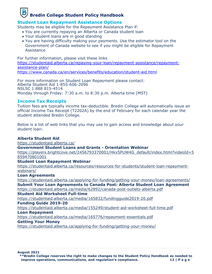#### <span id="page-11-0"></span>**Student Loan Repayment Assistance Options**

Students may be eligible for the Repayment Assistance Plan if:

- You are currently repaying an Alberta or Canada student loan
- Your student loans are in good standing
- You are having difficulty making your payments. Use the estimator tool on the Government of Canada website to see if you might be eligible for Repayment Assistance

For further information, please visit these links [https://studentaid.alberta.ca/repaying-your-loan/repayment-assistance/repayment](https://studentaid.alberta.ca/repaying-your-loan/repayment-assistance/repayment-assistance-plan/)[assistance-plan/](https://studentaid.alberta.ca/repaying-your-loan/repayment-assistance/repayment-assistance-plan/) <https://www.canada.ca/en/services/benefits/education/student-aid.html>

For more information on Student Loan Repayment please contact: Alberta Student Aid 1-855-606-2096 NSLSC 1 888 815-4514 Monday through Friday: 7:30 a.m. to 8:30 p.m. Alberta time (MST)

#### <span id="page-11-1"></span>**Income Tax Receipts**

Tuition fees are typically income tax-deductible. Bredin College will automatically issue an official Income Tax Receipt (T2202A) by the end of February for each calendar year the student attended Bredin College.

Below is a list of web links that you may use to gain access and knowledge about your student loan:

#### **Alberta Student Aid**

<https://studentaid.alberta.ca/>

**Government Student Loans and Grants - Orientation Webinar**

[https://players.brightcove.net/2456793370001/Hkv5PUW4G\\_default/index.html?videoId=5](https://players.brightcove.net/2456793370001/Hkv5PUW4G_default/index.html?videoId=5859470801001) [859470801001](https://players.brightcove.net/2456793370001/Hkv5PUW4G_default/index.html?videoId=5859470801001)

#### **Student Loan Repayment Webinar**

[https://studentaid.alberta.ca/resources/resources-for-students/student-loan-repayment](https://studentaid.alberta.ca/resources/resources-for-students/student-loan-repayment-webinars/)[webinars/](https://studentaid.alberta.ca/resources/resources-for-students/student-loan-repayment-webinars/)

#### **Loan Agreements**

<https://studentaid.alberta.ca/applying-for-funding/getting-your-money/loan-agreements/> **Submit Your Loan Agreements to Canada Post: Alberta Student Loan Agreement** <https://studentaid.alberta.ca/media/62892/canada-post-outlets-alberta.pdf> **Student Aid Worksheet Full-time**

#### <https://studentaid.alberta.ca/media/165832/fundingguide2019-20.pdf>

#### **Funding Guide 2019-20**

<https://studentaid.alberta.ca/media/155249/student-aid-worksheet-full-time.pdf>

#### **Loan Repayment**

<https://studentaid.alberta.ca/media/165776/repayment-essentials.pdf>

#### **Getting Your Money**

<https://studentaid.alberta.ca/applying-for-funding/getting-your-money/>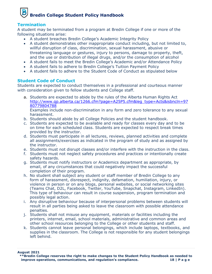#### <span id="page-17-0"></span>**Termination**

A student may be terminated from a program at Bredin College if one or more of the following situations arise:

- A student breaches Bredin College's Academic Integrity Policy
- A student demonstrates other inappropriate conduct including, but not limited to, willful disruption of class, discrimination, sexual harassment, abusive or threatening language or gestures, injury to persons, damage to property, theft, and the use or distribution of illegal drugs, and/or the consumption of alcohol
- A student fails to meet the Bredin College's Academic and/or Attendance Policy
- A student fails to adhere to Bredin College's Tuition Payment Policy
- A student fails to adhere to the Student Code of Conduct as stipulated below

#### <span id="page-17-1"></span>**Student Code of Conduct**

Students are expected to conduct themselves in a professional and courteous manner with consideration given to fellow students and College staff.

a. Students are expected to abide by the rules of the Alberta Human Rights Act [http://www.qp.alberta.ca/1266.cfm?page=A25P5.cfm&leg\\_type=Acts&isbncln=97](http://www.qp.alberta.ca/1266.cfm?page=A25P5.cfm&leg_type=Acts&isbncln=9780779804788) [80779804788](http://www.qp.alberta.ca/1266.cfm?page=A25P5.cfm&leg_type=Acts&isbncln=9780779804788)

Examples include non-discrimination in any form and zero tolerance to any sexual harassment.

- b. Students should abide by all College Policies and the student handbook.
- c. Students are expected to be available and ready for classes every day and to be on time for each scheduled class. Students are expected to respect break times provided by the instructor.
- d. Students must participate in all lectures, reviews, planned activities and complete all assignments/exercises as indicated in the program of study and as assigned by the instructor.
- e. Students must not disrupt classes and/or interfere with the instruction in the class.
- f. Students must not neglect safety procedures and practices or intentionally create safety hazards.
- g. Students must notify instructors or Academics department as appropriate, by email, of any circumstances that could negatively impact the successful completion of their program.
- h. No student shall subject any student or staff member of Bredin College to any form of harassment, disrespect, indignity, defamation, humiliation, injury, or violence in person or on any blogs, personal websites, or social networking sites (Teams Chat, D2L, Facebook, Twitter, YouTube, Snapchat, Instagram, LinkedIn). This type of behaviour can result in course suspension, program termination and possibly legal action.
- i. Any disruptive behaviour because of interpersonal problems between students will result in all parties being asked to leave the classroom with possible attendance penalties.
- j. Students shall not misuse any equipment, materials or facilities including the printers, internet, email, school materials, administrative and common areas and other school resources belonging to the College or other students and staff.
- k. Students cannot leave personal belongings, which include laptops, textbooks, and supplies in the classroom. The College is not responsible for any student belongings left behind.

**<sup>\*\*</sup>Bredin College reserves the right to make changes to the Student Policy Handbook as needed to improve operations, communications, and regulation's compliance. 18 | P a g e**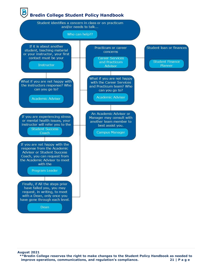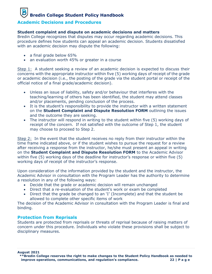#### <span id="page-21-0"></span>**Academic Decisions and Procedures**

#### **Student complaint and dispute on academic decisions and matters**

Bredin College recognizes that disputes may occur regarding academic decisions. This procedure defines how students can appeal an academic decision. Students dissatisfied with an academic decision may dispute the following:

- a final grade below 65%
- an evaluation worth 45% or greater in a course

Step 1: A student seeking a review of an academic decision is expected to discuss their concerns with the appropriate instructor within five (5) working days of receipt of the grade or academic decision (i.e., the posting of the grade via the student portal or receipt of the official notice of a final grade/academic decision).

- Unless an issue of liability, safety and/or behaviour that interferes with the teaching/learning of others has been identified, the student may attend classes and/or placements, pending conclusion of the process.
- It is the student's responsibility to provide the instructor with a written statement on the **Student Complaint and Dispute Resolution FORM** outlining the issues and the outcome they are seeking.
- The instructor will respond in writing to the student within five (5) working days of receipt of the concern. If not satisfied with the outcome of Step 1, the student may choose to proceed to Step 2.

Step 2: In the event that the student receives no reply from their instructor within the time frame indicated above, or if the student wishes to pursue the request for a review after receiving a response from the instructor, he/she must present an appeal in writing on the **Student Complaint and Dispute Resolution FORM** to the Academic Advisor within five (5) working days of the deadline for instructor's response or within five (5) working days of receipt of the instructor's response.

Upon consideration of the information provided by the student and the instructor, the Academic Advisor in consultation with the Program Leader has the authority to determine a resolution in any of the following ways:

- Decide that the grade or academic decision will remain unchanged
- Direct that a re-evaluation of the student's work or exam be completed
- Direct that the grade be changed to an 'I' (Incomplete) and that the student be allowed to complete other specific items of work

The decision of the Academic Advisor in consultation with the Program Leader is final and binding.

#### <span id="page-21-1"></span>**Protection from Reprisals**

Students are protected from reprisals or threats of reprisal because of raising matters of concern under this procedure. Individuals who violate these provisions shall be subject to disciplinary measures.

<span id="page-21-2"></span>**<sup>\*\*</sup>Bredin College reserves the right to make changes to the Student Policy Handbook as needed to improve operations, communications, and regulation's compliance. 22 | P a g e**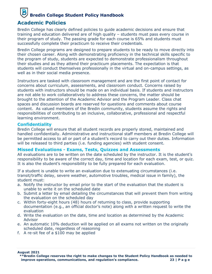### **Academic Policies**

Bredin College has clearly defined policies to guide academic decisions and ensure that training and education delivered are of high quality – students must pass every course in their program of study. The passing grade for each course is 65% and students must successfully complete their practicum to receive their credentials.

Bredin College programs are designed to prepare students to be ready to move directly into their chosen career. Along with demonstrating proficiency in the technical skills specific to the program of study, students are expected to demonstrate professionalism throughout their studies and as they attend their practicum placements. The expectation is that students will conduct themselves professionally in the virtual and on-campus settings, as well as in their social media presence.

Instructors are tasked with classroom management and are the first point of contact for concerns about curriculum, assessments, and classroom conduct. Concerns raised by students with instructors should be made on an individual basis. If students and instructors are not able to work collaboratively to address these concerns, the matter should be brought to the attention of the Academic Advisor and the Program Leader. Class chat spaces and discussion boards are reserved for questions and comments about course content. As valued members of the Bredin community, students assume the rights and responsibilities of contributing to an inclusive, collaborative, professional and respectful learning environment.

#### <span id="page-22-0"></span>**Confidentiality**

Bredin College will ensure that all student records are properly stored, maintained and handled confidentially. Administrative and instructional staff members at Bredin College will be permitted access to all or part of a student's record to carry out their duties. Information will be released to third parties (i.e. funding agencies) with student consent.

#### <span id="page-22-1"></span>**Missed Evaluations - Exams, Tests, Quizzes and Assessments**

All evaluations are to be written on the date scheduled by the instructor. It is the student's responsibility to be aware of the correct day, time and location for each exam, test, or quiz. It is also the student's responsibility to be fully prepared for each evaluation.

If a student is unable to write an evaluation due to extenuating circumstances (i.e. transit/traffic delay, severe weather, automotive troubles, medical issue in family), the student must:

- a. Notify the instructor by email prior to the start of the evaluation that the student is unable to write it on the scheduled date
- b. Submit a letter by email detailing the circumstances that will prevent them from writing the evaluation on the scheduled day
- c. Within forty-eight hours (48) hours of returning to class, provide supporting documentation (e.g., an official doctor's note) along with a written request to write the evaluation
- d. Write the evaluation on the date, time and location as determined by the Academic Advisor
- e. An automatic 10% deduction will be applied on all exams not written on the originally scheduled date, regardless of reasoning
- f. A re-sit fee of a \$100 may be applied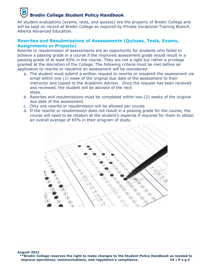All student evaluations (exams, tests, and quizzes) are the property of Bredin College and will be kept on record at Bredin College as required by Private Vocational Training Branch, Alberta Advanced Education.

#### <span id="page-23-0"></span>**Rewrites and Resubmissions of Assessments (Quizzes, Tests, Exams, Assignments or Projects)**

Rewrite or resubmission of assessments are an opportunity for students who failed to achieve a passing grade in a course if the improved assessment grade would result in a passing grade of at least 65% in the course. They are not a right but rather a privilege granted at the discretion of the College. The following criteria must be met before an application to rewrite or resubmit an assessment will be considered:

- a. The student must submit a written request to rewrite or resubmit the assessment via email within one (1) week of the original due date of the assessment to their instructor and copied to the Academic Advisor. Once the request has been received and reviewed, the student will be advised of the next steps.
- b. Rewrites and resubmissions must be completed within two (2) weeks of the original due date of the assessment.
- c. Only one rewrite or resubmission will be allowed per course.
- d. If the rewrite or resubmission does not result in a passing grade for the course, the course will need to be retaken at the student's expense if required for them to obtain an overall average of 65% in their program of study.

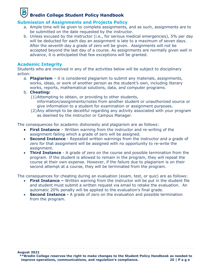#### <span id="page-24-0"></span>**Submission of Assignments and Projects Policy**

- a. Ample time will be given to complete assignments, and as such, assignments are to be submitted on the date requested by the instructor.
- b. Unless excused by the instructor (i.e., for serious medical emergencies), 5% per day will be deducted for each day an assignment is late to a maximum of seven days. After the seventh day a grade of zero will be given. Assignments will not be accepted beyond the last day of a course. As assignments are normally given well in advance, it is anticipated that few exceptions will be granted.

#### <span id="page-24-1"></span>**Academic Integrity**

Students who are involved in any of the activities below will be subject to disciplinary action:

a. **Plagiarism** – it is considered plagiarism to submit any materials, assignments, works, ideas, or work of another person as the student's own, including literary works, reports, mathematical solutions, data, and computer programs.

#### b. **Cheating:**

- (1)Attempting to obtain, or providing to other students, information/assignments/notes from another student or unauthorized source or give information to a student for examination or assignment purposes.
- (2)Any attempt to be deceitful regarding any activity associated with your program as deemed by the instructor or Campus Manager.

The consequences for academic dishonesty and plagiarism are as follows:

- **First Instance** Written warning from the instructor and re-writing of the assignment failing which a grade of zero will be assigned.
- **Second Instance** Repeated written warnings from the instructor and a grade of zero for that assignment will be assigned with no opportunity to re-write the assignment.
- **Third Instance** A grade of zero on the course and possible termination from the program. If the student is allowed to remain in the program, they will repeat the course at their own expense. However, if the failure due to plagiarism is on their second attempt at a course, they will be terminated from the program.

The consequences for cheating during an evaluation (exam, test, or quiz) are as follows:

- **First Instance –** Written warning from the instructor will be put in the student file and student must submit a written request via email to retake the evaluation. An automatic 20% penalty will be applied to the evaluation's final grade.
- **Second Instance -** A grade of zero on the evaluation and possible termination from the program.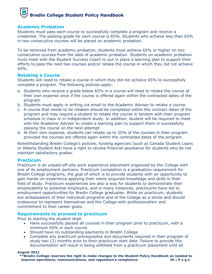#### <span id="page-25-0"></span>**Academic Probation**

Students must pass each course to successfully complete a program and receive a credential. The passing grade for each course is 65%. Students who achieve less than 65% in two consecutive courses will be placed on academic probation.

To be removed from academic probation, students must achieve 65% or higher on two consecutive courses from the date of academic probation. Students on academic probation must meet with the Student Success Coach to put in place a learning plan to support their efforts to pass the next two courses and/or retake the course in which they did not achieve 65%.

#### <span id="page-25-1"></span>**Retaking a Course**

Students will need to retake a course in which they did not achieve 65% to successfully complete a program. The following policies apply:

- a. Students who receive a grade below 65% in a course will need to retake the course at their own expense once if the course is offered again within the contracted dates of the program.
- b. Students must apply in writing via email to the Academic Advisor to retake a course.
- c. A course that needs to be retaken should be completed within the contract dates of the program and may require a student to retake the course in tandem with their program schedule in class or in independent study. In addition, student will be required to meet with the Academic Advisor to create a learning plan to support them in successfully passing the course on the next attempt
- d. At their own expense, students can retake up to 25% of the courses in their program provided the courses are offered again within the contracted dates of the program.

Notwithstanding Bredin College's policies, funding agencies (such as Canada Student Loans or Alberta Student Aid) have a right to revoke financial assistance for students who do not maintain satisfactory grades.

#### <span id="page-25-2"></span>**Practicum**

Practicum is an unpaid off-site work experience placement organized by the College with one of its employment partners. Practicum completion is a graduation requirement for Bredin College programs, the goal of which is to provide students with an opportunity to gain hands-on experience applying their newly acquired knowledge and skills in their field of study. Practicum experiences are also a way for students to demonstrate their employability to potential employers, and in many instances, practicums have led to employment opportunities for Bredin College graduates. While on practicum, students are ambassadors of their individual programs and of the College as a whole and should endeavour to represent themselves and the College with professionalism and commitment to their career goals.

#### **Requirements to proceed to practicum**

Prior to starting the student shall:

- Have successfully passed all courses in their program prior to practicum, with a minimum 65% in each course
- Should have no outstanding payments to Bredin College
- Complete any practicum prerequisites and documents required in their program of study two (2) months prior to their practicum start date. Failure to provide this documentation will result in being withheld from a practicum placement until all

#### **August 2021**

**\*\*Bredin College reserves the right to make changes to the Student Policy Handbook as needed to improve operations, communications, and regulation's compliance. 26 | P a g e**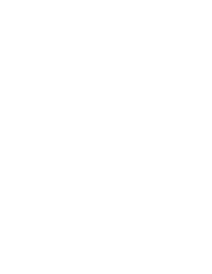#### **Bredin College Student**

|                                                                                                                                                                                                                                      | $\overline{4}$ |
|--------------------------------------------------------------------------------------------------------------------------------------------------------------------------------------------------------------------------------------|----------------|
|                                                                                                                                                                                                                                      | 5              |
|                                                                                                                                                                                                                                      | 5              |
| Bredin Advantage <b>manufacture and the contract of the contract of the contract of the contract of the contract o</b>                                                                                                               |                |
|                                                                                                                                                                                                                                      | 6              |
| Bredin College Esteemed Faculty and Staff <b>College College College Steemed Faculty and Staff College College College</b>                                                                                                           | . 6            |
|                                                                                                                                                                                                                                      | 6              |
|                                                                                                                                                                                                                                      |                |
|                                                                                                                                                                                                                                      | 8              |
|                                                                                                                                                                                                                                      | 8              |
|                                                                                                                                                                                                                                      | 8              |
|                                                                                                                                                                                                                                      |                |
|                                                                                                                                                                                                                                      |                |
|                                                                                                                                                                                                                                      | 9              |
|                                                                                                                                                                                                                                      |                |
|                                                                                                                                                                                                                                      |                |
|                                                                                                                                                                                                                                      |                |
|                                                                                                                                                                                                                                      |                |
| Withdrawals and Terminations <b>constructions</b> and the construction of the construction of the constructions of the                                                                                                               | 10<br>10       |
|                                                                                                                                                                                                                                      |                |
|                                                                                                                                                                                                                                      |                |
| Textbooks, Supplies and Materials <b>construction of the Construction</b> of the construction of the text of the text of the text of the text of the text of the text of the text of the text of text of text of text of text of te  | 11             |
|                                                                                                                                                                                                                                      |                |
| Consequences for Not Paying your Student Loan Fig. 2016. All the Consequences for Not Paying your Student Loan                                                                                                                       | 11             |
|                                                                                                                                                                                                                                      | 12             |
|                                                                                                                                                                                                                                      | 12             |
|                                                                                                                                                                                                                                      | 13             |
|                                                                                                                                                                                                                                      | 14             |
|                                                                                                                                                                                                                                      |                |
|                                                                                                                                                                                                                                      | $\dots$ 14     |
|                                                                                                                                                                                                                                      | 14             |
| Personal Supports Services <b>much manufacture of the contract of the Contract of the Contract of the Contract of Contract of Contract of Contract of Contract of Contract of Contract of Contract of Contract of Contract of Co</b> | 14             |
| Personalized Support with My SSP (and the contract of the contract of the contract of the 14                                                                                                                                         |                |
|                                                                                                                                                                                                                                      | 14             |
|                                                                                                                                                                                                                                      |                |
|                                                                                                                                                                                                                                      |                |
|                                                                                                                                                                                                                                      | 15             |
|                                                                                                                                                                                                                                      | 15             |
|                                                                                                                                                                                                                                      |                |
| Classroom Learning Attendance Requirements <b>contain the contract of the Classroom</b> Learning Attendance Requirements                                                                                                             | 15             |
| Practicum Attendance Requirements <b>maturity contract the contract of the Contract Contract Contract Contract Contract Contract Contract Contract Contract Contract Contract Contract Contract Contract Contract Contract Contr</b> | 15             |
| Exam Attendance Requirements <b>contract to the contract of the Contract Contract Contract Contract Contract Control</b>                                                                                                             | 15             |
|                                                                                                                                                                                                                                      | 16             |
|                                                                                                                                                                                                                                      | 16             |

August 2021

\*\* Bredin College reserves the right to make changes to the Student Policy Handbook as needed to improve operations, communications, and regulation's compliance.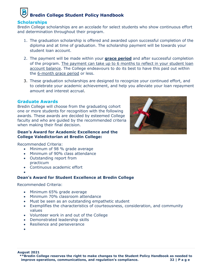#### <span id="page-31-0"></span>**Scholarships**

Bredin College scholarships are an accolade for select students who show continuous effort and determination throughout their program.

- 1. The graduation scholarship is offered and awarded upon successful completion of the diploma and at time of graduation. The scholarship payment will be towards your student loan account.
- 2. The payment will be made within your **grace period** and after successful completion of the program. The payment can take up to 6 months to reflect in your student loan account balance. The College endeavours to do its best to have this paid out within the [6-month grace period](https://studentaid.alberta.ca/repayment/repaying-your-student-loan/) or less.
- 3. These graduation scholarships are designed to recognize your continued effort, and to celebrate your academic achievement, and help you alleviate your loan repayment amount and interest accrual.

#### <span id="page-31-1"></span>**Graduate Awards**

Bredin College will choose from the graduating cohort one or more students for recognition with the following awards. These awards are decided by esteemed College faculty and who are guided by the recommended criteria when making their final decision.

#### **Dean's Award for Academic Excellence and the College Valedictorian at Bredin College:**



Recommended Criteria:

- Minimum of 98 % grade average
- Minimum of 90% class attendance
- Outstanding report from practicum
- Continuous academic effort
- Faculty and staff vote

#### **Dean's Award for Student Excellence at Bredin College**

Recommended Criteria:

- Minimum 65% grade average
- Minimum 70% classroom attendance
- Must be seen as an outstanding empathetic student
- Exemplifies the characteristics of courteousness, consideration, and community values
- Volunteer work in and out of the College
- Demonstrated leadership skills
- Resilience and perseverance
- Faculty and staff vote